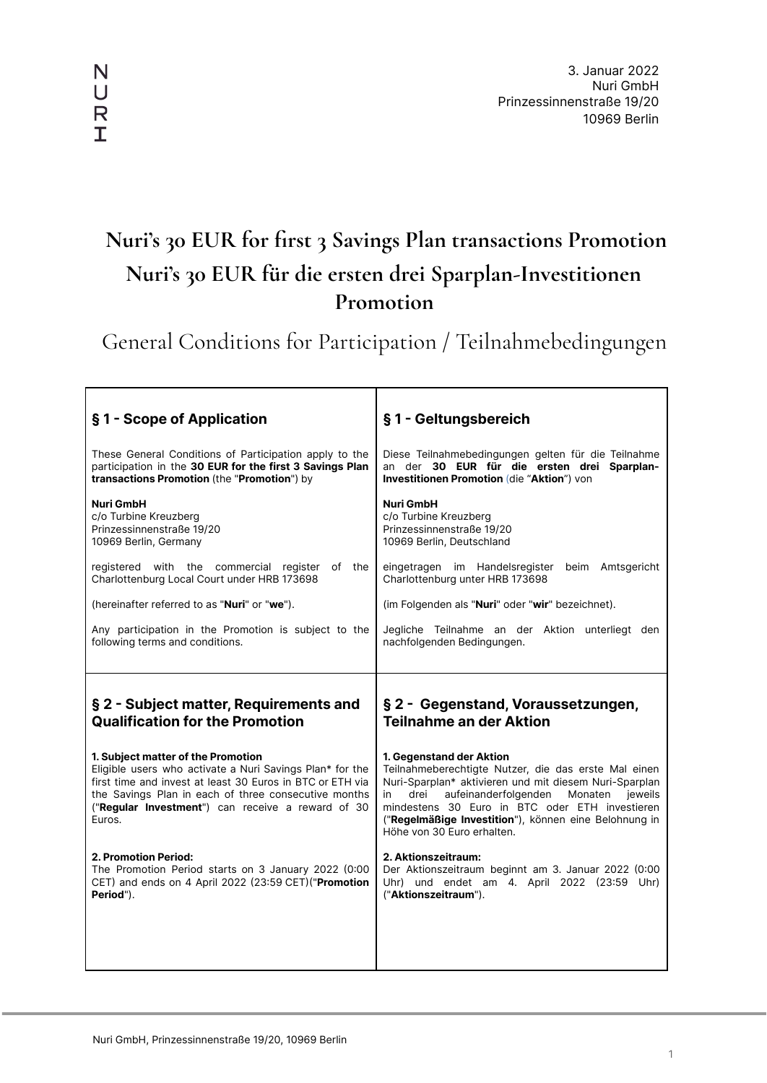# **Nuri's 30 EUR for first 3 Savings Plan transactions Promotion Nuri's 30 EUR für die ersten drei Sparplan-Investitionen Promotion**

General Conditions for Participation / Teilnahmebedingungen

| §1 - Scope of Application                                                                                                                                                        | §1 - Geltungsbereich                                                                                                                                                                                                                                        |
|----------------------------------------------------------------------------------------------------------------------------------------------------------------------------------|-------------------------------------------------------------------------------------------------------------------------------------------------------------------------------------------------------------------------------------------------------------|
| These General Conditions of Participation apply to the                                                                                                                           | Diese Teilnahmebedingungen gelten für die Teilnahme                                                                                                                                                                                                         |
| participation in the 30 EUR for the first 3 Savings Plan                                                                                                                         | an der 30 EUR für die ersten drei Sparplan-                                                                                                                                                                                                                 |
| transactions Promotion (the "Promotion") by                                                                                                                                      | Investitionen Promotion (die "Aktion") von                                                                                                                                                                                                                  |
| <b>Nuri GmbH</b>                                                                                                                                                                 | <b>Nuri GmbH</b>                                                                                                                                                                                                                                            |
| c/o Turbine Kreuzberg                                                                                                                                                            | c/o Turbine Kreuzberg                                                                                                                                                                                                                                       |
| Prinzessinnenstraße 19/20                                                                                                                                                        | Prinzessinnenstraße 19/20                                                                                                                                                                                                                                   |
| 10969 Berlin, Germany                                                                                                                                                            | 10969 Berlin, Deutschland                                                                                                                                                                                                                                   |
| registered with the commercial register                                                                                                                                          | eingetragen im Handelsregister                                                                                                                                                                                                                              |
| of the                                                                                                                                                                           | beim Amtsgericht                                                                                                                                                                                                                                            |
| Charlottenburg Local Court under HRB 173698                                                                                                                                      | Charlottenburg unter HRB 173698                                                                                                                                                                                                                             |
| (hereinafter referred to as "Nuri" or "we").                                                                                                                                     | (im Folgenden als "Nuri" oder "wir" bezeichnet).                                                                                                                                                                                                            |
| Any participation in the Promotion is subject to the                                                                                                                             | Jegliche Teilnahme an der Aktion unterliegt den                                                                                                                                                                                                             |
| following terms and conditions.                                                                                                                                                  | nachfolgenden Bedingungen.                                                                                                                                                                                                                                  |
| § 2 - Subject matter, Requirements and                                                                                                                                           | § 2 - Gegenstand, Voraussetzungen,                                                                                                                                                                                                                          |
| <b>Qualification for the Promotion</b>                                                                                                                                           | <b>Teilnahme an der Aktion</b>                                                                                                                                                                                                                              |
| 1. Subject matter of the Promotion                                                                                                                                               | 1. Gegenstand der Aktion                                                                                                                                                                                                                                    |
| Eligible users who activate a Nuri Savings Plan* for the                                                                                                                         | Teilnahmeberechtigte Nutzer, die das erste Mal einen                                                                                                                                                                                                        |
| first time and invest at least 30 Euros in BTC or ETH via<br>the Savings Plan in each of three consecutive months<br>("Regular Investment") can receive a reward of 30<br>Euros. | Nuri-Sparplan* aktivieren und mit diesem Nuri-Sparplan<br>aufeinanderfolgenden<br>in<br>drei<br>Monaten<br>ieweils<br>mindestens 30 Euro in BTC oder ETH investieren<br>("Regelmäßige Investition"), können eine Belohnung in<br>Höhe von 30 Euro erhalten. |
| <b>2. Promotion Period:</b>                                                                                                                                                      | 2. Aktionszeitraum:                                                                                                                                                                                                                                         |
| The Promotion Period starts on 3 January 2022 (0:00                                                                                                                              | Der Aktionszeitraum beginnt am 3. Januar 2022 (0:00                                                                                                                                                                                                         |
| CET) and ends on 4 April 2022 (23:59 CET) ("Promotion                                                                                                                            | Uhr) und endet am 4. April 2022 (23:59 Uhr)                                                                                                                                                                                                                 |
| Period").                                                                                                                                                                        | ("Aktionszeitraum").                                                                                                                                                                                                                                        |

N  $\bigcup$  $\mathsf{R}$  $\mathbf T$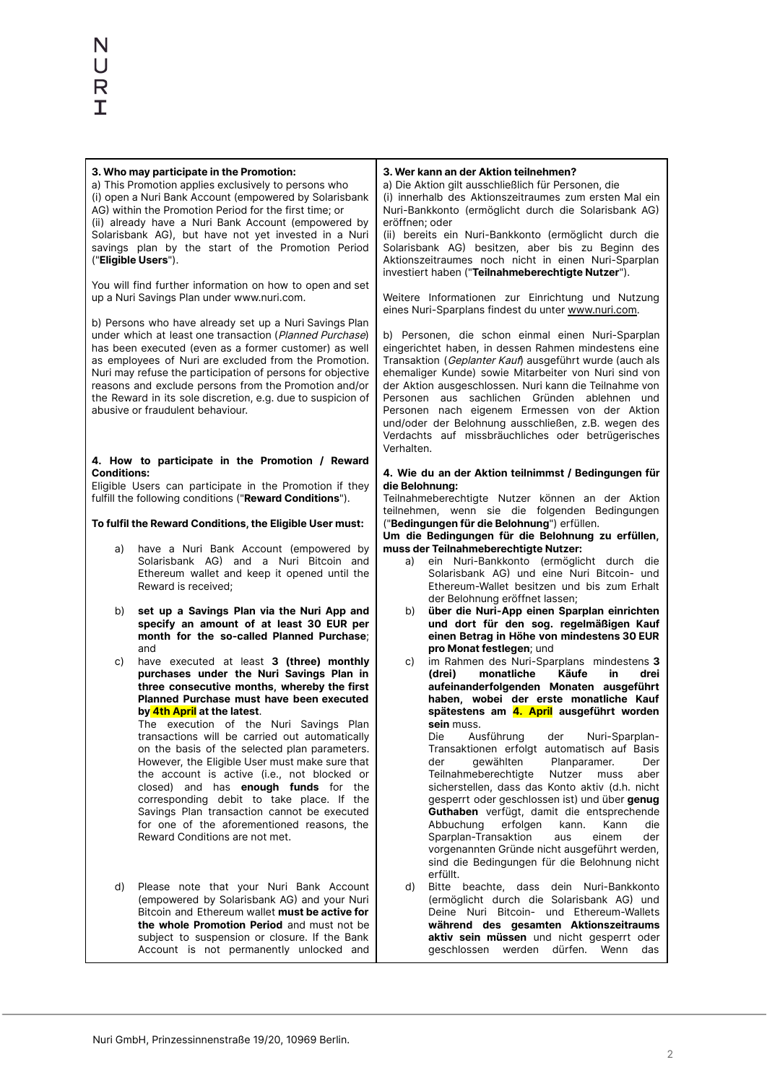| 3. Who may participate in the Promotion:<br>a) This Promotion applies exclusively to persons who<br>(i) open a Nuri Bank Account (empowered by Solarisbank                                                                                                                                                                                                 |                                                                                                        |                | 3. Wer kann an der Aktion teilnehmen?<br>a) Die Aktion gilt ausschließlich für Personen, die<br>(i) innerhalb des Aktionszeitraumes zum ersten Mal ein                                                                                                                                                                                  |
|------------------------------------------------------------------------------------------------------------------------------------------------------------------------------------------------------------------------------------------------------------------------------------------------------------------------------------------------------------|--------------------------------------------------------------------------------------------------------|----------------|-----------------------------------------------------------------------------------------------------------------------------------------------------------------------------------------------------------------------------------------------------------------------------------------------------------------------------------------|
| AG) within the Promotion Period for the first time; or                                                                                                                                                                                                                                                                                                     |                                                                                                        |                | Nuri-Bankkonto (ermöglicht durch die Solarisbank AG)                                                                                                                                                                                                                                                                                    |
| (ii) already have a Nuri Bank Account (empowered by<br>Solarisbank AG), but have not yet invested in a Nuri<br>savings plan by the start of the Promotion Period<br>("Eligible Users").                                                                                                                                                                    |                                                                                                        | eröffnen; oder | (ii) bereits ein Nuri-Bankkonto (ermöglicht durch die<br>Solarisbank AG) besitzen, aber bis zu Beginn des<br>Aktionszeitraumes noch nicht in einen Nuri-Sparplan<br>investiert haben ("Teilnahmeberechtigte Nutzer").                                                                                                                   |
|                                                                                                                                                                                                                                                                                                                                                            | You will find further information on how to open and set<br>up a Nuri Savings Plan under www.nuri.com. |                | Weitere Informationen zur Einrichtung und Nutzung<br>eines Nuri-Sparplans findest du unter www.nuri.com.                                                                                                                                                                                                                                |
| b) Persons who have already set up a Nuri Savings Plan<br>under which at least one transaction (Planned Purchase)<br>has been executed (even as a former customer) as well<br>as employees of Nuri are excluded from the Promotion.<br>Nuri may refuse the participation of persons for objective<br>reasons and exclude persons from the Promotion and/or |                                                                                                        |                | b) Personen, die schon einmal einen Nuri-Sparplan<br>eingerichtet haben, in dessen Rahmen mindestens eine<br>Transaktion (Geplanter Kauf) ausgeführt wurde (auch als<br>ehemaliger Kunde) sowie Mitarbeiter von Nuri sind von<br>der Aktion ausgeschlossen. Nuri kann die Teilnahme von<br>Personen aus sachlichen Gründen ablehnen und |
| the Reward in its sole discretion, e.g. due to suspicion of<br>abusive or fraudulent behaviour.                                                                                                                                                                                                                                                            |                                                                                                        | Verhalten.     | Personen nach eigenem Ermessen von der Aktion<br>und/oder der Belohnung ausschließen, z.B. wegen des<br>Verdachts auf missbräuchliches oder betrügerisches                                                                                                                                                                              |
|                                                                                                                                                                                                                                                                                                                                                            | 4. How to participate in the Promotion / Reward                                                        |                |                                                                                                                                                                                                                                                                                                                                         |
| <b>Conditions:</b>                                                                                                                                                                                                                                                                                                                                         | Eligible Users can participate in the Promotion if they                                                | die Belohnung: | 4. Wie du an der Aktion teilnimmst / Bedingungen für                                                                                                                                                                                                                                                                                    |
|                                                                                                                                                                                                                                                                                                                                                            | fulfill the following conditions ("Reward Conditions").                                                |                | Teilnahmeberechtigte Nutzer können an der Aktion                                                                                                                                                                                                                                                                                        |
| To fulfil the Reward Conditions, the Eligible User must:                                                                                                                                                                                                                                                                                                   |                                                                                                        |                | teilnehmen, wenn sie die folgenden Bedingungen<br>("Bedingungen für die Belohnung") erfüllen.<br>Um die Bedingungen für die Belohnung zu erfüllen,                                                                                                                                                                                      |
| a)                                                                                                                                                                                                                                                                                                                                                         | have a Nuri Bank Account (empowered by                                                                 |                | muss der Teilnahmeberechtigte Nutzer:                                                                                                                                                                                                                                                                                                   |
|                                                                                                                                                                                                                                                                                                                                                            | Solarisbank AG) and a Nuri Bitcoin and<br>Ethereum wallet and keep it opened until the                 | a)             | ein Nuri-Bankkonto (ermöglicht durch die<br>Solarisbank AG) und eine Nuri Bitcoin- und                                                                                                                                                                                                                                                  |
|                                                                                                                                                                                                                                                                                                                                                            | Reward is received;                                                                                    |                | Ethereum-Wallet besitzen und bis zum Erhalt                                                                                                                                                                                                                                                                                             |
|                                                                                                                                                                                                                                                                                                                                                            | set up a Savings Plan via the Nuri App and                                                             | b)             | der Belohnung eröffnet lassen;<br>über die Nuri-App einen Sparplan einrichten                                                                                                                                                                                                                                                           |
| b)                                                                                                                                                                                                                                                                                                                                                         | specify an amount of at least 30 EUR per                                                               |                | und dort für den sog. regelmäßigen Kauf                                                                                                                                                                                                                                                                                                 |
|                                                                                                                                                                                                                                                                                                                                                            | month for the so-called Planned Purchase;                                                              |                | einen Betrag in Höhe von mindestens 30 EUR<br>pro Monat festlegen; und                                                                                                                                                                                                                                                                  |
| c)                                                                                                                                                                                                                                                                                                                                                         | and<br>have executed at least 3 (three) monthly                                                        | C)             | im Rahmen des Nuri-Sparplans mindestens 3                                                                                                                                                                                                                                                                                               |
|                                                                                                                                                                                                                                                                                                                                                            | purchases under the Nuri Savings Plan in                                                               |                | (drei)<br>monatliche<br>Käufe<br>in<br>drei                                                                                                                                                                                                                                                                                             |
|                                                                                                                                                                                                                                                                                                                                                            | three consecutive months, whereby the first<br>Planned Purchase must have been executed                |                | aufeinanderfolgenden Monaten ausgeführt<br>haben, wobei der erste monatliche Kauf                                                                                                                                                                                                                                                       |
|                                                                                                                                                                                                                                                                                                                                                            | by 4th April at the latest.                                                                            |                | spätestens am 4. April ausgeführt worden                                                                                                                                                                                                                                                                                                |
|                                                                                                                                                                                                                                                                                                                                                            | The execution of the Nuri Savings Plan<br>transactions will be carried out automatically               |                | sein muss.<br>Die<br>Ausführung<br>der<br>Nuri-Sparplan-                                                                                                                                                                                                                                                                                |
|                                                                                                                                                                                                                                                                                                                                                            | on the basis of the selected plan parameters.                                                          |                | Transaktionen erfolgt automatisch auf Basis                                                                                                                                                                                                                                                                                             |
|                                                                                                                                                                                                                                                                                                                                                            | However, the Eligible User must make sure that<br>the account is active (i.e., not blocked or          |                | gewählten<br>Planparamer.<br>der<br>Der<br>Teilnahmeberechtigte<br>Nutzer<br>muss<br>aber                                                                                                                                                                                                                                               |
|                                                                                                                                                                                                                                                                                                                                                            | closed) and has <b>enough funds</b> for the                                                            |                | sicherstellen, dass das Konto aktiv (d.h. nicht                                                                                                                                                                                                                                                                                         |
|                                                                                                                                                                                                                                                                                                                                                            | corresponding debit to take place. If the<br>Savings Plan transaction cannot be executed               |                | gesperrt oder geschlossen ist) und über genug<br>Guthaben verfügt, damit die entsprechende                                                                                                                                                                                                                                              |
|                                                                                                                                                                                                                                                                                                                                                            | for one of the aforementioned reasons, the<br>Reward Conditions are not met.                           |                | Abbuchung<br>erfolgen<br>kann.<br>Kann<br>die<br>Sparplan-Transaktion<br>einem<br>der                                                                                                                                                                                                                                                   |
|                                                                                                                                                                                                                                                                                                                                                            |                                                                                                        |                | aus<br>vorgenannten Gründe nicht ausgeführt werden,                                                                                                                                                                                                                                                                                     |
|                                                                                                                                                                                                                                                                                                                                                            |                                                                                                        |                | sind die Bedingungen für die Belohnung nicht                                                                                                                                                                                                                                                                                            |
| d)                                                                                                                                                                                                                                                                                                                                                         | Please note that your Nuri Bank Account                                                                | d)             | erfüllt.<br>Bitte beachte, dass dein Nuri-Bankkonto                                                                                                                                                                                                                                                                                     |
|                                                                                                                                                                                                                                                                                                                                                            | (empowered by Solarisbank AG) and your Nuri                                                            |                | (ermöglicht durch die Solarisbank AG) und                                                                                                                                                                                                                                                                                               |
|                                                                                                                                                                                                                                                                                                                                                            | Bitcoin and Ethereum wallet must be active for<br>the whole Promotion Period and must not be           |                | Deine Nuri Bitcoin- und Ethereum-Wallets<br>während des gesamten Aktionszeitraums                                                                                                                                                                                                                                                       |
|                                                                                                                                                                                                                                                                                                                                                            | subject to suspension or closure. If the Bank<br>Account is not permanently unlocked and               |                | aktiv sein müssen und nicht gesperrt oder<br>geschlossen<br>werden dürfen.<br>Wenn<br>das                                                                                                                                                                                                                                               |
|                                                                                                                                                                                                                                                                                                                                                            |                                                                                                        |                |                                                                                                                                                                                                                                                                                                                                         |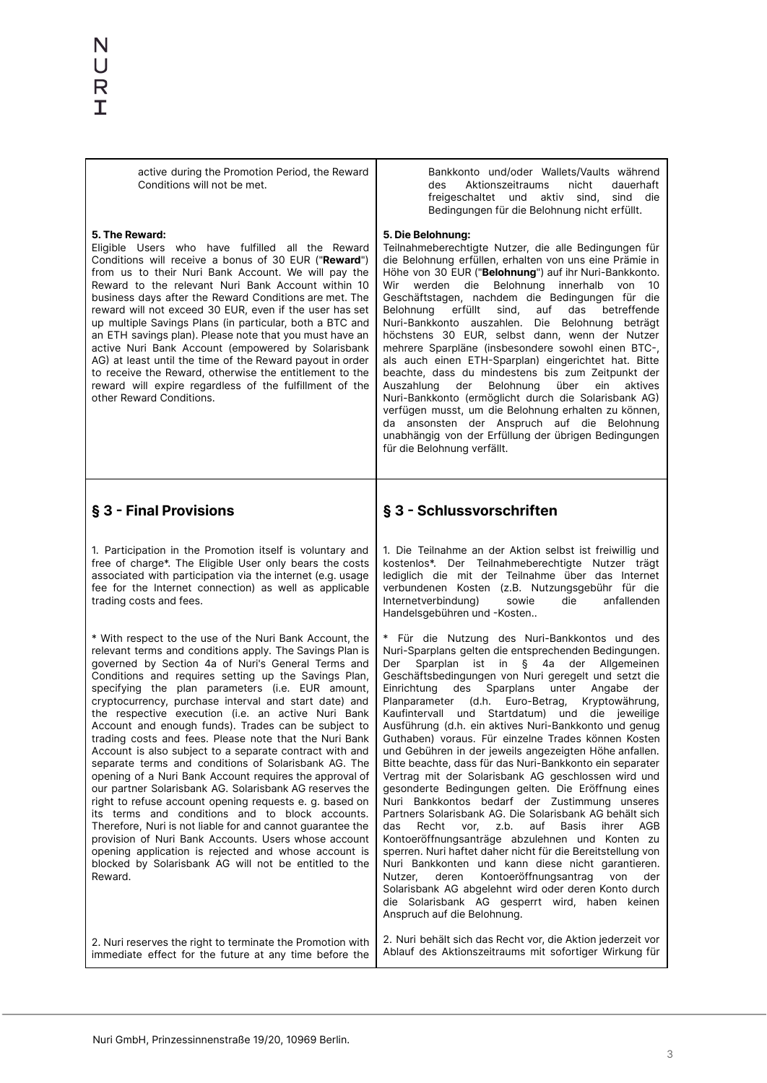active during the Promotion Period, the Reward Conditions will not be met.

#### **5. The Reward:**

Eligible Users who have fulfilled all the Reward Conditions will receive a bonus of 30 EUR ("**Reward**") from us to their Nuri Bank Account. We will pay the Reward to the relevant Nuri Bank Account within 10 business days after the Reward Conditions are met. The reward will not exceed 30 EUR, even if the user has set up multiple Savings Plans (in particular, both a BTC and an ETH savings plan). Please note that you must have an active Nuri Bank Account (empowered by Solarisbank AG) at least until the time of the Reward payout in order to receive the Reward, otherwise the entitlement to the reward will expire regardless of the fulfillment of the other Reward Conditions.

Bankkonto und/oder Wallets/Vaults während des Aktionszeitraums nicht dauerhaft freigeschaltet und aktiv sind, sind die Bedingungen für die Belohnung nicht erfüllt.

#### **5. Die Belohnung:**

Teilnahmeberechtigte Nutzer, die alle Bedingungen für die Belohnung erfüllen, erhalten von uns eine Prämie in Höhe von 30 EUR ("**Belohnung**") auf ihr Nuri-Bankkonto. Wir werden die Belohnung innerhalb von 10 Geschäftstagen, nachdem die Bedingungen für die Belohnung erfüllt sind, auf das betreffende Nuri-Bankkonto auszahlen. Die Belohnung beträgt höchstens 30 EUR, selbst dann, wenn der Nutzer mehrere Sparpläne (insbesondere sowohl einen BTC-, als auch einen ETH-Sparplan) eingerichtet hat. Bitte beachte, dass du mindestens bis zum Zeitpunkt der Auszahlung der Belohnung über ein aktives Nuri-Bankkonto (ermöglicht durch die Solarisbank AG) verfügen musst, um die Belohnung erhalten zu können, da ansonsten der Anspruch auf die Belohnung unabhängig von der Erfüllung der übrigen Bedingungen für die Belohnung verfällt.

### **§ 3 - Final Provisions**

1. Participation in the Promotion itself is voluntary and free of charge\*. The Eligible User only bears the costs associated with participation via the internet (e.g. usage fee for the Internet connection) as well as applicable trading costs and fees.

\* With respect to the use of the Nuri Bank Account, the relevant terms and conditions apply. The Savings Plan is governed by Section 4a of Nuri's General Terms and Conditions and requires setting up the Savings Plan, specifying the plan parameters (i.e. EUR amount, cryptocurrency, purchase interval and start date) and the respective execution (i.e. an active Nuri Bank Account and enough funds). Trades can be subject to trading costs and fees. Please note that the Nuri Bank Account is also subject to a separate contract with and separate terms and conditions of Solarisbank AG. The opening of a Nuri Bank Account requires the approval of our partner Solarisbank AG. Solarisbank AG reserves the right to refuse account opening requests e. g. based on its terms and conditions and to block accounts. Therefore, Nuri is not liable for and cannot guarantee the provision of Nuri Bank Accounts. Users whose account opening application is rejected and whose account is blocked by Solarisbank AG will not be entitled to the Reward.

## **§ 3 - Schlussvorschriften**

1. Die Teilnahme an der Aktion selbst ist freiwillig und kostenlos\*. Der Teilnahmeberechtigte Nutzer trägt lediglich die mit der Teilnahme über das Internet verbundenen Kosten (z.B. Nutzungsgebühr für die<br>Internetverbindung) sowie die anfallenden Internetverbindung) sowie die Handelsgebühren und -Kosten..

\* Für die Nutzung des Nuri-Bankkontos und des Nuri-Sparplans gelten die entsprechenden Bedingungen. Der Sparplan ist in § 4a der Allgemeinen Geschäftsbedingungen von Nuri geregelt und setzt die Einrichtung des Sparplans unter Angabe der Planparameter (d.h. Euro-Betrag, Kryptowährung, Kaufintervall und Startdatum) und die jeweilige Ausführung (d.h. ein aktives Nuri-Bankkonto und genug Guthaben) voraus. Für einzelne Trades können Kosten und Gebühren in der jeweils angezeigten Höhe anfallen. Bitte beachte, dass für das Nuri-Bankkonto ein separater Vertrag mit der Solarisbank AG geschlossen wird und gesonderte Bedingungen gelten. Die Eröffnung eines Nuri Bankkontos bedarf der Zustimmung unseres Partners Solarisbank AG. Die Solarisbank AG behält sich das Recht vor, z.b. auf Basis ihrer AGB Kontoeröffnungsanträge abzulehnen und Konten zu sperren. Nuri haftet daher nicht für die Bereitstellung von Nuri Bankkonten und kann diese nicht garantieren. Nutzer, deren Kontoeröffnungsantrag von der Solarisbank AG abgelehnt wird oder deren Konto durch die Solarisbank AG gesperrt wird, haben keinen Anspruch auf die Belohnung.

2. Nuri reserves the right to terminate the Promotion with immediate effect for the future at any time before the 2. Nuri behält sich das Recht vor, die Aktion jederzeit vor Ablauf des Aktionszeitraums mit sofortiger Wirkung für